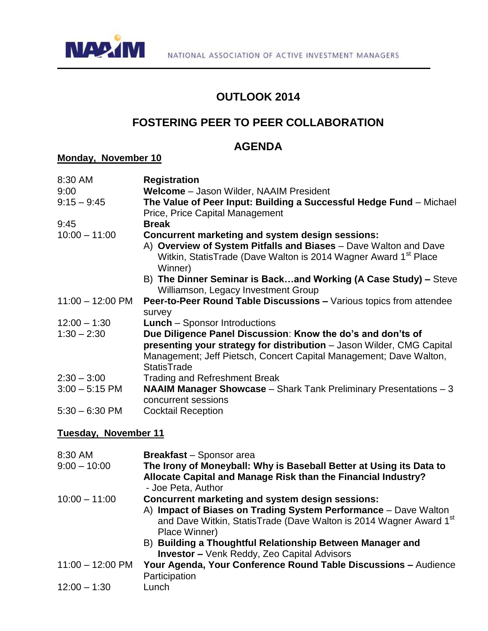

## **OUTLOOK 2014**

# **FOSTERING PEER TO PEER COLLABORATION**

## **AGENDA**

#### **Monday, November 10**

| 8:30 AM                    | <b>Registration</b>                                                                                                                                               |
|----------------------------|-------------------------------------------------------------------------------------------------------------------------------------------------------------------|
| 9:00                       | <b>Welcome</b> – Jason Wilder, NAAIM President                                                                                                                    |
| $9:15 - 9:45$              | The Value of Peer Input: Building a Successful Hedge Fund – Michael<br>Price, Price Capital Management                                                            |
| 9:45                       | <b>Break</b>                                                                                                                                                      |
| $10:00 - 11:00$            | Concurrent marketing and system design sessions:                                                                                                                  |
|                            | A) Overview of System Pitfalls and Biases - Dave Walton and Dave<br>Witkin, StatisTrade (Dave Walton is 2014 Wagner Award 1 <sup>st</sup> Place<br>Winner)        |
|                            | B) The Dinner Seminar is Backand Working (A Case Study) - Steve<br>Williamson, Legacy Investment Group                                                            |
| $11:00 - 12:00 \text{ PM}$ | <b>Peer-to-Peer Round Table Discussions – Various topics from attendee</b>                                                                                        |
|                            | survey                                                                                                                                                            |
| $12:00 - 1:30$             | <b>Lunch</b> – Sponsor Introductions                                                                                                                              |
| $1:30 - 2:30$              | Due Diligence Panel Discussion: Know the do's and don'ts of                                                                                                       |
|                            | presenting your strategy for distribution - Jason Wilder, CMG Capital<br>Management; Jeff Pietsch, Concert Capital Management; Dave Walton,<br><b>StatisTrade</b> |
| $2:30 - 3:00$              | <b>Trading and Refreshment Break</b>                                                                                                                              |
| $3:00 - 5:15$ PM           | <b>NAAIM Manager Showcase</b> - Shark Tank Preliminary Presentations - 3<br>concurrent sessions                                                                   |
| $5:30 - 6:30$ PM           | <b>Cocktail Reception</b>                                                                                                                                         |

### **Tuesday, November 11**

| 8:30 AM<br>$9:00 - 10:00$  | <b>Breakfast</b> - Sponsor area<br>The Irony of Moneyball: Why is Baseball Better at Using its Data to<br>Allocate Capital and Manage Risk than the Financial Industry?<br>- Joe Peta, Author                          |
|----------------------------|------------------------------------------------------------------------------------------------------------------------------------------------------------------------------------------------------------------------|
| $10:00 - 11:00$            | Concurrent marketing and system design sessions:<br>A) Impact of Biases on Trading System Performance - Dave Walton<br>and Dave Witkin, StatisTrade (Dave Walton is 2014 Wagner Award 1 <sup>st</sup><br>Place Winner) |
|                            | B) Building a Thoughtful Relationship Between Manager and<br><b>Investor - Venk Reddy, Zeo Capital Advisors</b>                                                                                                        |
| $11:00 - 12:00 \text{ PM}$ | Your Agenda, Your Conference Round Table Discussions - Audience<br>Participation                                                                                                                                       |
| $12:00 - 1:30$             | Lunch                                                                                                                                                                                                                  |